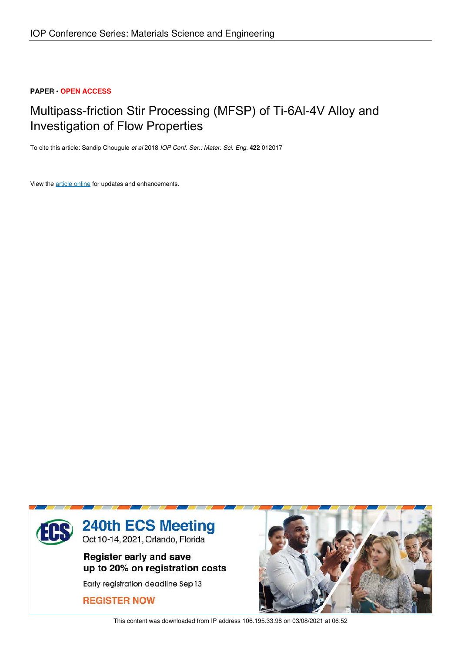## **PAPER • OPEN ACCESS**

# Multipass-friction Stir Processing (MFSP) of Ti-6Al-4V Alloy and Investigation of Flow Properties

To cite this article: Sandip Chougule *et al* 2018 *IOP Conf. Ser.: Mater. Sci. Eng.* **422** 012017

View the article online for updates and enhancements.



This content was downloaded from IP address 106.195.33.98 on 03/08/2021 at 06:52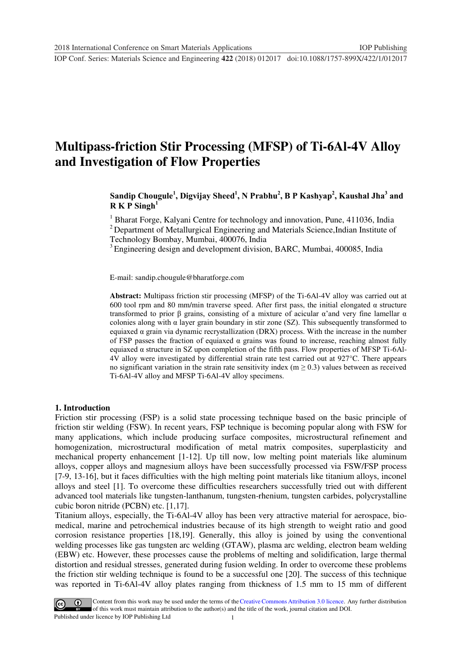## **Multipass-friction Stir Processing (MFSP) of Ti-6Al-4V Alloy and Investigation of Flow Properties**

## **Sandip Chougule<sup>1</sup> , Digvijay Sheed<sup>1</sup> , N Prabhu<sup>2</sup> , B P Kashyap<sup>2</sup> , Kaushal Jha<sup>3</sup> and**   $R K P$  Singh<sup>1</sup>

<sup>1</sup> Bharat Forge, Kalyani Centre for technology and innovation, Pune, 411036, India <sup>2</sup> Department of Metallurgical Engineering and Materials Science, Indian Institute of Technology Bombay, Mumbai, 400076, India

<sup>3</sup> Engineering design and development division, BARC, Mumbai, 400085, India

E-mail: sandip.chougule@bharatforge.com

**Abstract:** Multipass friction stir processing (MFSP) of the Ti-6Al-4V alloy was carried out at 600 tool rpm and 80 mm/min traverse speed. After first pass, the initial elongated  $\alpha$  structure transformed to prior β grains, consisting of a mixture of acicular α'and very fine lamellar α colonies along with  $\alpha$  layer grain boundary in stir zone (SZ). This subsequently transformed to equiaxed α grain via dynamic recrystallization (DRX) process. With the increase in the number of FSP passes the fraction of equiaxed  $\alpha$  grains was found to increase, reaching almost fully equiaxed α structure in SZ upon completion of the fifth pass. Flow properties of MFSP Ti-6Al-4V alloy were investigated by differential strain rate test carried out at 927°C. There appears no significant variation in the strain rate sensitivity index ( $m \ge 0.3$ ) values between as received Ti-6Al-4V alloy and MFSP Ti-6Al-4V alloy specimens.

#### **1. Introduction**

Friction stir processing (FSP) is a solid state processing technique based on the basic principle of friction stir welding (FSW). In recent years, FSP technique is becoming popular along with FSW for many applications, which include producing surface composites, microstructural refinement and homogenization, microstructural modification of metal matrix composites, superplasticity and mechanical property enhancement [1-12]. Up till now, low melting point materials like aluminum alloys, copper alloys and magnesium alloys have been successfully processed via FSW/FSP process [7-9, 13-16], but it faces difficulties with the high melting point materials like titanium alloys, inconel alloys and steel [1]. To overcome these difficulties researchers successfully tried out with different advanced tool materials like tungsten-lanthanum, tungsten-rhenium, tungsten carbides, polycrystalline cubic boron nitride (PCBN) etc. [1,17].

Titanium alloys, especially, the Ti-6Al-4V alloy has been very attractive material for aerospace, biomedical, marine and petrochemical industries because of its high strength to weight ratio and good corrosion resistance properties [18,19]. Generally, this alloy is joined by using the conventional welding processes like gas tungsten arc welding (GTAW), plasma arc welding, electron beam welding (EBW) etc. However, these processes cause the problems of melting and solidification, large thermal distortion and residual stresses, generated during fusion welding. In order to overcome these problems the friction stir welding technique is found to be a successful one [20]. The success of this technique was reported in Ti-6Al-4V alloy plates ranging from thickness of 1.5 mm to 15 mm of different

1 Content from this work may be used under the terms of the Creative Commons Attribution 3.0 licence. Any further distribution of this work must maintain attribution to the author(s) and the title of the work, journal citation and DOI. Published under licence by IOP Publishing Ltd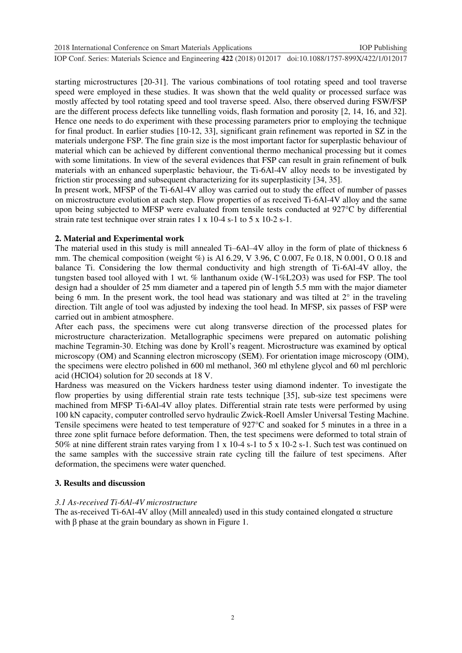2018 International Conference on Smart Materials Applications IOP Publishing

**1234567890**''"" IOP Conf. Series: Materials Science and Engineering **422** (2018) 012017 doi:10.1088/1757-899X/422/1/012017

starting microstructures [20-31]. The various combinations of tool rotating speed and tool traverse speed were employed in these studies. It was shown that the weld quality or processed surface was mostly affected by tool rotating speed and tool traverse speed. Also, there observed during FSW/FSP are the different process defects like tunnelling voids, flash formation and porosity [2, 14, 16, and 32]. Hence one needs to do experiment with these processing parameters prior to employing the technique for final product. In earlier studies [10-12, 33], significant grain refinement was reported in SZ in the materials undergone FSP. The fine grain size is the most important factor for superplastic behaviour of material which can be achieved by different conventional thermo mechanical processing but it comes with some limitations. In view of the several evidences that FSP can result in grain refinement of bulk materials with an enhanced superplastic behaviour, the Ti-6Al-4V alloy needs to be investigated by friction stir processing and subsequent characterizing for its superplasticity [34, 35].

In present work, MFSP of the Ti-6Al-4V alloy was carried out to study the effect of number of passes on microstructure evolution at each step. Flow properties of as received Ti-6Al-4V alloy and the same upon being subjected to MFSP were evaluated from tensile tests conducted at 927°C by differential strain rate test technique over strain rates 1 x 10-4 s-1 to 5 x 10-2 s-1.

#### **2. Material and Experimental work**

The material used in this study is mill annealed Ti–6Al–4V alloy in the form of plate of thickness 6 mm. The chemical composition (weight %) is Al 6.29, V 3.96, C 0.007, Fe 0.18, N 0.001, O 0.18 and balance Ti. Considering the low thermal conductivity and high strength of Ti-6Al-4V alloy, the tungsten based tool alloyed with 1 wt. % lanthanum oxide (W-1%L2O3) was used for FSP. The tool design had a shoulder of 25 mm diameter and a tapered pin of length 5.5 mm with the major diameter being 6 mm. In the present work, the tool head was stationary and was tilted at  $2^{\circ}$  in the traveling direction. Tilt angle of tool was adjusted by indexing the tool head. In MFSP, six passes of FSP were carried out in ambient atmosphere.

After each pass, the specimens were cut along transverse direction of the processed plates for microstructure characterization. Metallographic specimens were prepared on automatic polishing machine Tegramin-30. Etching was done by Kroll's reagent. Microstructure was examined by optical microscopy (OM) and Scanning electron microscopy (SEM). For orientation image microscopy (OIM), the specimens were electro polished in 600 ml methanol, 360 ml ethylene glycol and 60 ml perchloric acid (HClO4) solution for 20 seconds at 18 V.

Hardness was measured on the Vickers hardness tester using diamond indenter. To investigate the flow properties by using differential strain rate tests technique [35], sub-size test specimens were machined from MFSP Ti-6Al-4V alloy plates. Differential strain rate tests were performed by using 100 kN capacity, computer controlled servo hydraulic Zwick-Roell Amsler Universal Testing Machine. Tensile specimens were heated to test temperature of 927°C and soaked for 5 minutes in a three in a three zone split furnace before deformation. Then, the test specimens were deformed to total strain of 50% at nine different strain rates varying from 1 x 10-4 s-1 to 5 x 10-2 s-1. Such test was continued on the same samples with the successive strain rate cycling till the failure of test specimens. After deformation, the specimens were water quenched.

#### **3. Results and discussion**

#### *3.1 As-received Ti-6Al-4V microstructure*

The as-received Ti-6Al-4V alloy (Mill annealed) used in this study contained elongated  $\alpha$  structure with  $\beta$  phase at the grain boundary as shown in Figure 1.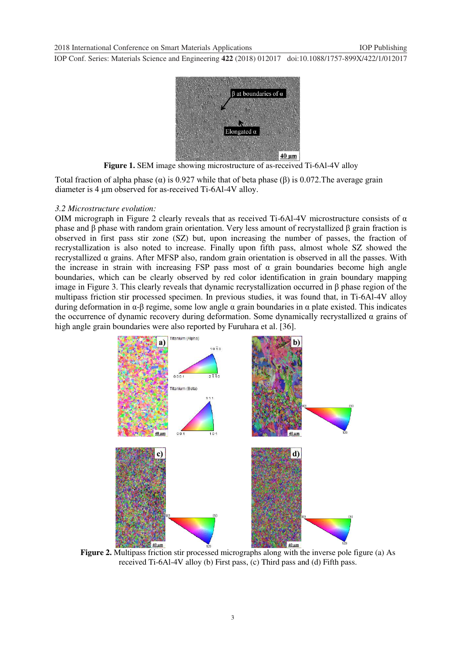

**Figure 1.** SEM image showing microstructure of as-received Ti-6Al-4V alloy

Total fraction of alpha phase ( $\alpha$ ) is 0.927 while that of beta phase ( $\beta$ ) is 0.072. The average grain diameter is 4 μm observed for as-received Ti-6Al-4V alloy.

#### *3.2 Microstructure evolution:*

OIM micrograph in Figure 2 clearly reveals that as received Ti-6Al-4V microstructure consists of  $\alpha$ phase and β phase with random grain orientation. Very less amount of recrystallized β grain fraction is observed in first pass stir zone (SZ) but, upon increasing the number of passes, the fraction of recrystallization is also noted to increase. Finally upon fifth pass, almost whole SZ showed the recrystallized α grains. After MFSP also, random grain orientation is observed in all the passes. With the increase in strain with increasing FSP pass most of  $\alpha$  grain boundaries become high angle boundaries, which can be clearly observed by red color identification in grain boundary mapping image in Figure 3. This clearly reveals that dynamic recrystallization occurred in β phase region of the multipass friction stir processed specimen. In previous studies, it was found that, in Ti-6Al-4V alloy during deformation in α-β regime, some low angle α grain boundaries in α plate existed. This indicates the occurrence of dynamic recovery during deformation. Some dynamically recrystallized  $\alpha$  grains of high angle grain boundaries were also reported by Furuhara et al. [36].



**Figure 2.** Multipass friction stir processed micrographs along with the inverse pole figure (a) As received Ti-6Al-4V alloy (b) First pass, (c) Third pass and (d) Fifth pass.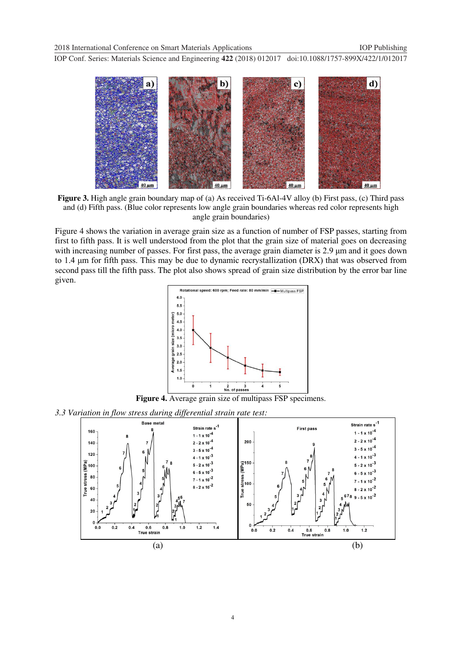2018 International Conference on Smart Materials Applications IOP Publishing

**1234567890**''"" IOP Conf. Series: Materials Science and Engineering **422** (2018) 012017 doi:10.1088/1757-899X/422/1/012017



**Figure 3.** High angle grain boundary map of (a) As received Ti-6Al-4V alloy (b) First pass, (c) Third pass and (d) Fifth pass. (Blue color represents low angle grain boundaries whereas red color represents high angle grain boundaries)

Figure 4 shows the variation in average grain size as a function of number of FSP passes, starting from first to fifth pass. It is well understood from the plot that the grain size of material goes on decreasing with increasing number of passes. For first pass, the average grain diameter is 2.9 μm and it goes down to 1.4 μm for fifth pass. This may be due to dynamic recrystallization (DRX) that was observed from second pass till the fifth pass. The plot also shows spread of grain size distribution by the error bar line given.



**Figure 4.** Average grain size of multipass FSP specimens.

*3.3 Variation in flow stress during differential strain rate test:* 

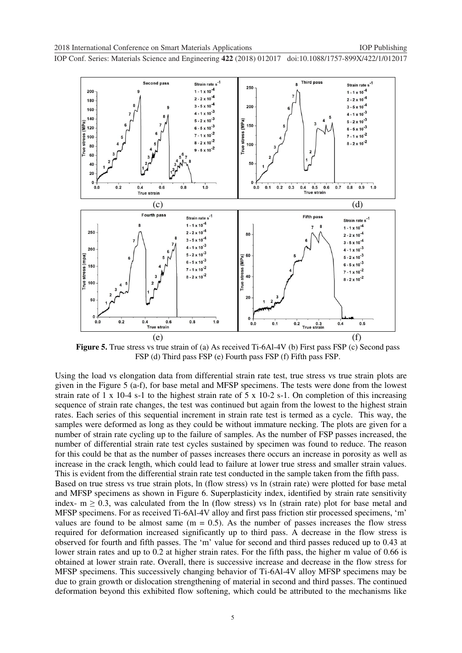

**Figure 5.** True stress vs true strain of (a) As received Ti-6Al-4V (b) First pass FSP (c) Second pass FSP (d) Third pass FSP (e) Fourth pass FSP (f) Fifth pass FSP.

Using the load vs elongation data from differential strain rate test, true stress vs true strain plots are given in the Figure 5 (a-f), for base metal and MFSP specimens. The tests were done from the lowest strain rate of 1 x 10-4 s-1 to the highest strain rate of 5 x 10-2 s-1. On completion of this increasing sequence of strain rate changes, the test was continued but again from the lowest to the highest strain rates. Each series of this sequential increment in strain rate test is termed as a cycle. This way, the samples were deformed as long as they could be without immature necking. The plots are given for a number of strain rate cycling up to the failure of samples. As the number of FSP passes increased, the number of differential strain rate test cycles sustained by specimen was found to reduce. The reason for this could be that as the number of passes increases there occurs an increase in porosity as well as increase in the crack length, which could lead to failure at lower true stress and smaller strain values. This is evident from the differential strain rate test conducted in the sample taken from the fifth pass. Based on true stress vs true strain plots, ln (flow stress) vs ln (strain rate) were plotted for base metal and MFSP specimens as shown in Figure 6. Superplasticity index, identified by strain rate sensitivity index-  $m \ge 0.3$ , was calculated from the ln (flow stress) vs ln (strain rate) plot for base metal and MFSP specimens. For as received Ti-6Al-4V alloy and first pass friction stir processed specimens, 'm' values are found to be almost same  $(m = 0.5)$ . As the number of passes increases the flow stress required for deformation increased significantly up to third pass. A decrease in the flow stress is observed for fourth and fifth passes. The 'm' value for second and third passes reduced up to 0.43 at lower strain rates and up to 0.2 at higher strain rates. For the fifth pass, the higher m value of 0.66 is obtained at lower strain rate. Overall, there is successive increase and decrease in the flow stress for MFSP specimens. This successively changing behavior of Ti-6Al-4V alloy MFSP specimens may be due to grain growth or dislocation strengthening of material in second and third passes. The continued deformation beyond this exhibited flow softening, which could be attributed to the mechanisms like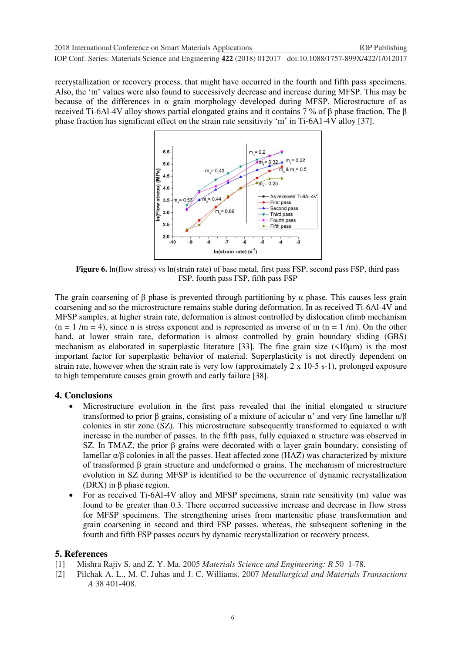recrystallization or recovery process, that might have occurred in the fourth and fifth pass specimens. Also, the 'm' values were also found to successively decrease and increase during MFSP. This may be because of the differences in  $\alpha$  grain morphology developed during MFSP. Microstructure of as received Ti-6Al-4V alloy shows partial elongated grains and it contains 7 % of β phase fraction. The β phase fraction has significant effect on the strain rate sensitivity 'm' in Ti-6A1-4V alloy [37].



**Figure 6.** ln(flow stress) vs ln(strain rate) of base metal, first pass FSP, second pass FSP, third pass FSP, fourth pass FSP, fifth pass FSP

The grain coarsening of  $\beta$  phase is prevented through partitioning by  $\alpha$  phase. This causes less grain coarsening and so the microstructure remains stable during deformation. In as received Ti-6Al-4V and MFSP samples, at higher strain rate, deformation is almost controlled by dislocation climb mechanism  $(n = 1/m = 4)$ , since n is stress exponent and is represented as inverse of m  $(n = 1/m)$ . On the other hand, at lower strain rate, deformation is almost controlled by grain boundary sliding (GBS) mechanism as elaborated in superplastic literature [33]. The fine grain size  $(510 \mu m)$  is the most important factor for superplastic behavior of material. Superplasticity is not directly dependent on strain rate, however when the strain rate is very low (approximately 2 x 10-5 s-1), prolonged exposure to high temperature causes grain growth and early failure [38].

## **4. Conclusions**

- Microstructure evolution in the first pass revealed that the initial elongated  $\alpha$  structure transformed to prior β grains, consisting of a mixture of acicular α' and very fine lamellar α/β colonies in stir zone (SZ). This microstructure subsequently transformed to equiaxed  $\alpha$  with increase in the number of passes. In the fifth pass, fully equiaxed  $\alpha$  structure was observed in SZ. In TMAZ, the prior  $\beta$  grains were decorated with  $\alpha$  layer grain boundary, consisting of lamellar  $\alpha/\beta$  colonies in all the passes. Heat affected zone (HAZ) was characterized by mixture of transformed β grain structure and undeformed α grains. The mechanism of microstructure evolution in SZ during MFSP is identified to be the occurrence of dynamic recrystallization (DRX) in  $β$  phase region.
- For as received Ti-6Al-4V alloy and MFSP specimens, strain rate sensitivity (m) value was found to be greater than 0.3. There occurred successive increase and decrease in flow stress for MFSP specimens. The strengthening arises from martensitic phase transformation and grain coarsening in second and third FSP passes, whereas, the subsequent softening in the fourth and fifth FSP passes occurs by dynamic recrystallization or recovery process.

## **5. References**

- [1] Mishra Rajiv S. and Z. Y. Ma. 2005 *Materials Science and Engineering: R* 50 1-78.
- [2] Pilchak A. L., M. C. Juhas and J. C. Williams. 2007 *Metallurgical and Materials Transactions A* 38 401-408.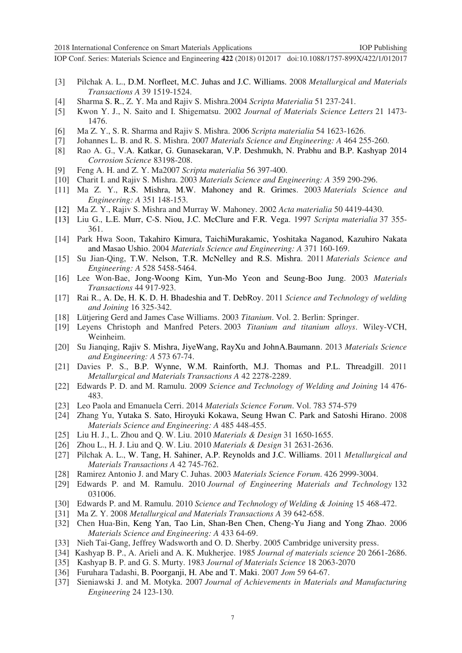- [3] Pilchak A. L., D.M. Norfleet, M.C. Juhas and J.C. Williams. 2008 *Metallurgical and Materials Transactions A* 39 1519-1524.
- [4] Sharma S. R., Z. Y. Ma and Rajiv S. Mishra.2004 *Scripta Materialia* 51 237-241.
- [5] Kwon Y. J., N. Saito and I. Shigematsu. 2002 *Journal of Materials Science Letters* 21 1473- 1476.
- [6] Ma Z. Y., S. R. Sharma and Rajiv S. Mishra. 2006 *Scripta materialia* 54 1623-1626.
- [7] Johannes L. B. and R. S. Mishra. 2007 *Materials Science and Engineering: A* 464 255-260.
- [8] Rao A. G., V.A. Katkar, G. Gunasekaran, V.P. Deshmukh, N. Prabhu and B.P. Kashyap 2014 *Corrosion Science* 83198-208.
- [9] Feng A. H. and Z. Y. Ma2007 *Scripta materialia* 56 397-400.
- [10] Charit I. and Rajiv S. Mishra. 2003 *Materials Science and Engineering: A* 359 290-296.
- [11] Ma Z. Y., R.S. Mishra, M.W. Mahoney and R. Grimes. 2003 *Materials Science and Engineering: A* 351 148-153.
- [12] Ma Z. Y., Rajiv S. Mishra and Murray W. Mahoney. 2002 *Acta materialia* 50 4419-4430.
- [13] Liu G., L.E. Murr, C-S. Niou, J.C. McClure and F.R. Vega. 1997 *Scripta materialia* 37 355- 361.
- [14] Park Hwa Soon, Takahiro Kimura, TaichiMurakamic, Yoshitaka Naganod, Kazuhiro Nakata and Masao Ushio. 2004 *Materials Science and Engineering: A* 371 160-169.
- [15] Su Jian-Qing, T.W. Nelson, T.R. McNelley and R.S. Mishra. 2011 *Materials Science and Engineering: A* 528 5458-5464.
- [16] Lee Won-Bae, Jong-Woong Kim, Yun-Mo Yeon and Seung-Boo Jung. 2003 *Materials Transactions* 44 917-923.
- [17] Rai R., A. De, H. K. D. H. Bhadeshia and T. DebRoy. 2011 *Science and Technology of welding and Joining* 16 325-342.
- [18] Lütjering Gerd and James Case Williams. 2003 *Titanium*. Vol. 2. Berlin: Springer.
- [19] Leyens Christoph and Manfred Peters. 2003 *Titanium and titanium alloys*. Wiley-VCH, Weinheim.
- [20] Su Jianqing, Rajiv S. Mishra, JiyeWang, RayXu and JohnA.Baumann. 2013 *Materials Science and Engineering: A* 573 67-74.
- [21] Davies P. S., B.P. Wynne, W.M. Rainforth, M.J. Thomas and P.L. Threadgill. 2011 *Metallurgical and Materials Transactions A* 42 2278-2289.
- [22] Edwards P. D. and M. Ramulu. 2009 *Science and Technology of Welding and Joining* 14 476- 483.
- [23] Leo Paola and Emanuela Cerri. 2014 *Materials Science Forum*. Vol. 783 574-579
- [24] Zhang Yu, Yutaka S. Sato, Hiroyuki Kokawa, Seung Hwan C. Park and Satoshi Hirano. 2008 *Materials Science and Engineering: A* 485 448-455.
- [25] Liu H. J., L. Zhou and Q. W. Liu. 2010 *Materials & Design* 31 1650-1655.
- [26] Zhou L., H. J. Liu and Q. W. Liu. 2010 *Materials & Design* 31 2631-2636.
- [27] Pilchak A. L., W. Tang, H. Sahiner, A.P. Reynolds and J.C. Williams. 2011 *Metallurgical and Materials Transactions A* 42 745-762.
- [28] Ramirez Antonio J. and Mary C. Juhas. 2003 *Materials Science Forum*. 426 2999-3004.
- [29] Edwards P. and M. Ramulu. 2010 *Journal of Engineering Materials and Technology* 132 031006.
- [30] Edwards P. and M. Ramulu. 2010 *Science and Technology of Welding & Joining* 15 468-472.
- [31] Ma Z. Y. 2008 *Metallurgical and Materials Transactions A* 39 642-658.
- [32] Chen Hua-Bin, Keng Yan, Tao Lin, Shan-Ben Chen, Cheng-Yu Jiang and Yong Zhao. 2006 *Materials Science and Engineering: A* 433 64-69.
- [33] Nieh Tai-Gang, Jeffrey Wadsworth and O. D. Sherby. 2005 Cambridge university press.
- [34] Kashyap B. P., A. Arieli and A. K. Mukherjee. 1985 *Journal of materials science* 20 2661-2686.
- [35] Kashyap B. P. and G. S. Murty. 1983 *Journal of Materials Science* 18 2063-2070
- [36] Furuhara Tadashi, B. Poorganji, H. Abe and T. Maki. 2007 *Jom* 59 64-67.
- [37] Sieniawski J. and M. Motyka. 2007 *Journal of Achievements in Materials and Manufacturing Engineering* 24 123-130.